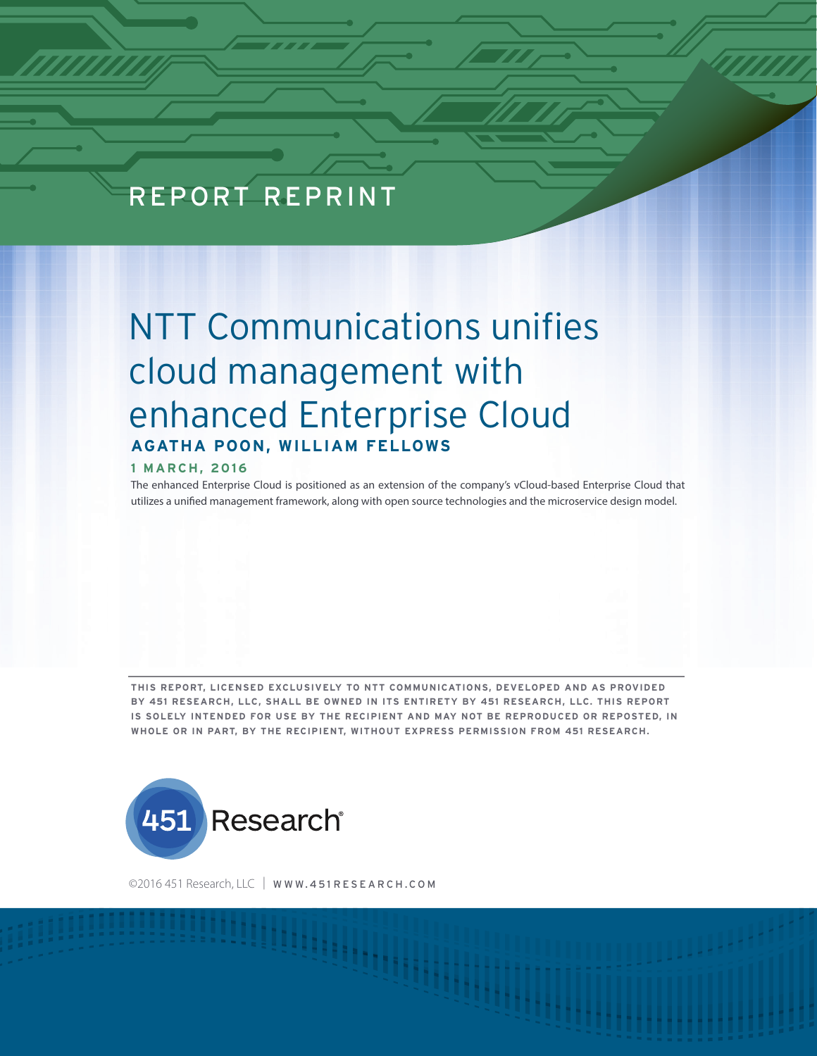## REPORT REPRINT

# NTT Communications unifies cloud management with enhanced Enterprise Cloud **AGATHA POON, WILLIAM FELLOWS**

#### **1 MARCH, 2016**

The enhanced Enterprise Cloud is positioned as an extension of the company's vCloud-based Enterprise Cloud that utilizes a unified management framework, along with open source technologies and the microservice design model.

**THIS REPORT, LICENSED EXCLUSIVELY TO NTT COMMUNICATIONS, DEVELOPED AND AS PROVIDED BY 451 RESEARCH, LLC, SHALL BE OWNED IN ITS ENTIRETY BY 451 RESEARCH, LLC. THIS REPORT IS SOLELY INTENDED FOR USE BY THE RECIPIENT AND MAY NOT BE REPRODUCED OR REPOSTED, IN WHOLE OR IN PART, BY THE RECIPIENT, WITHOUT EXPRESS PERMISSION FROM 451 RESEARCH.** 



©2016 451 Research, LLC | WWW.451 RESEARCH.COM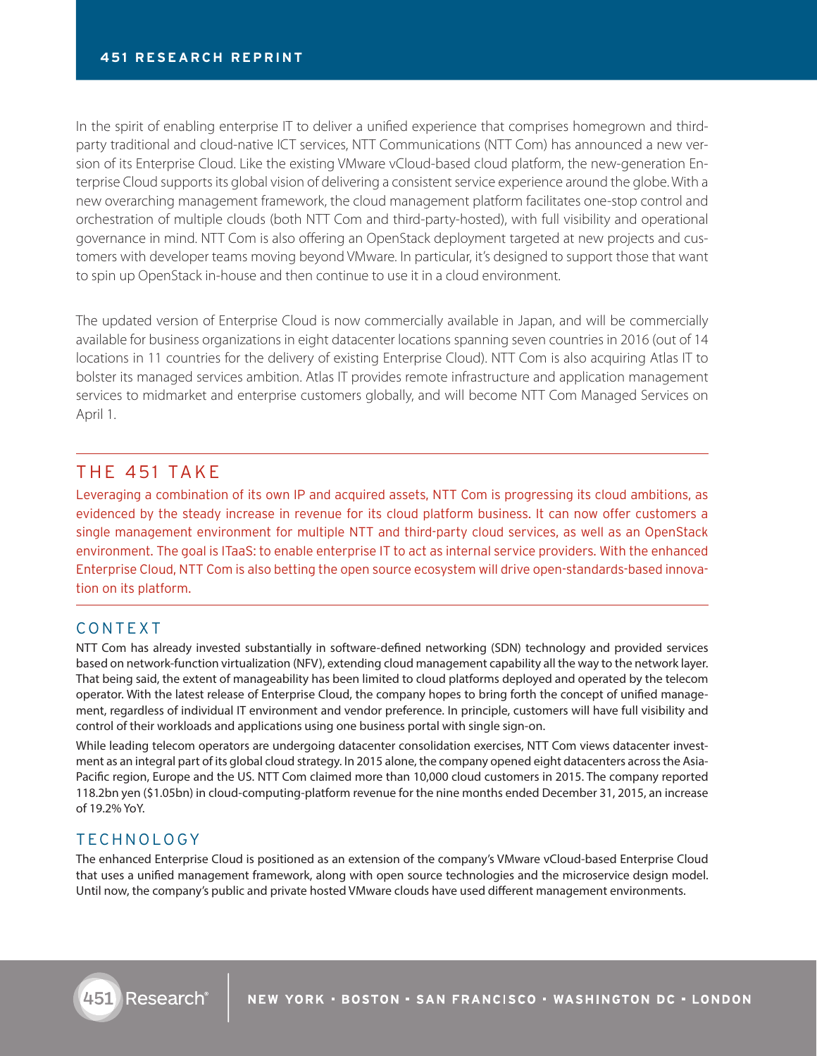In the spirit of enabling enterprise IT to deliver a unified experience that comprises homegrown and thirdparty traditional and cloud-native ICT services, NTT Communications (NTT Com) has announced a new version of its Enterprise Cloud. Like the existing VMware vCloud-based cloud platform, the new-generation Enterprise Cloud supports its global vision of delivering a consistent service experience around the globe. With a new overarching management framework, the cloud management platform facilitates one-stop control and orchestration of multiple clouds (both NTT Com and third-party-hosted), with full visibility and operational governance in mind. NTT Com is also offering an OpenStack deployment targeted at new projects and customers with developer teams moving beyond VMware. In particular, it's designed to support those that want to spin up OpenStack in-house and then continue to use it in a cloud environment.

The updated version of Enterprise Cloud is now commercially available in Japan, and will be commercially available for business organizations in eight datacenter locations spanning seven countries in 2016 (out of 14 locations in 11 countries for the delivery of existing Enterprise Cloud). NTT Com is also acquiring Atlas IT to bolster its managed services ambition. Atlas IT provides remote infrastructure and application management services to midmarket and enterprise customers globally, and will become NTT Com Managed Services on April 1.

## THE 451 TAKE

Leveraging a combination of its own IP and acquired assets, NTT Com is progressing its cloud ambitions, as evidenced by the steady increase in revenue for its cloud platform business. It can now offer customers a single management environment for multiple NTT and third-party cloud services, as well as an OpenStack environment. The goal is ITaaS: to enable enterprise IT to act as internal service providers. With the enhanced Enterprise Cloud, NTT Com is also betting the open source ecosystem will drive open-standards-based innovation on its platform.

## CONTEXT

NTT Com has already invested substantially in software-defined networking (SDN) technology and provided services based on network-function virtualization (NFV), extending cloud management capability all the way to the network layer. That being said, the extent of manageability has been limited to cloud platforms deployed and operated by the telecom operator. With the latest release of Enterprise Cloud, the company hopes to bring forth the concept of unified management, regardless of individual IT environment and vendor preference. In principle, customers will have full visibility and control of their workloads and applications using one business portal with single sign-on.

While leading telecom operators are undergoing datacenter consolidation exercises, NTT Com views datacenter investment as an integral part of its global cloud strategy. In 2015 alone, the company opened eight datacenters across the Asia-Pacific region, Europe and the US. NTT Com claimed more than 10,000 cloud customers in 2015. The company reported 118.2bn yen (\$1.05bn) in cloud-computing-platform revenue for the nine months ended December 31, 2015, an increase of 19.2% YoY.

## TECHNOLOGY

The enhanced Enterprise Cloud is positioned as an extension of the company's VMware vCloud-based Enterprise Cloud that uses a unified management framework, along with open source technologies and the microservice design model. Until now, the company's public and private hosted VMware clouds have used different management environments.

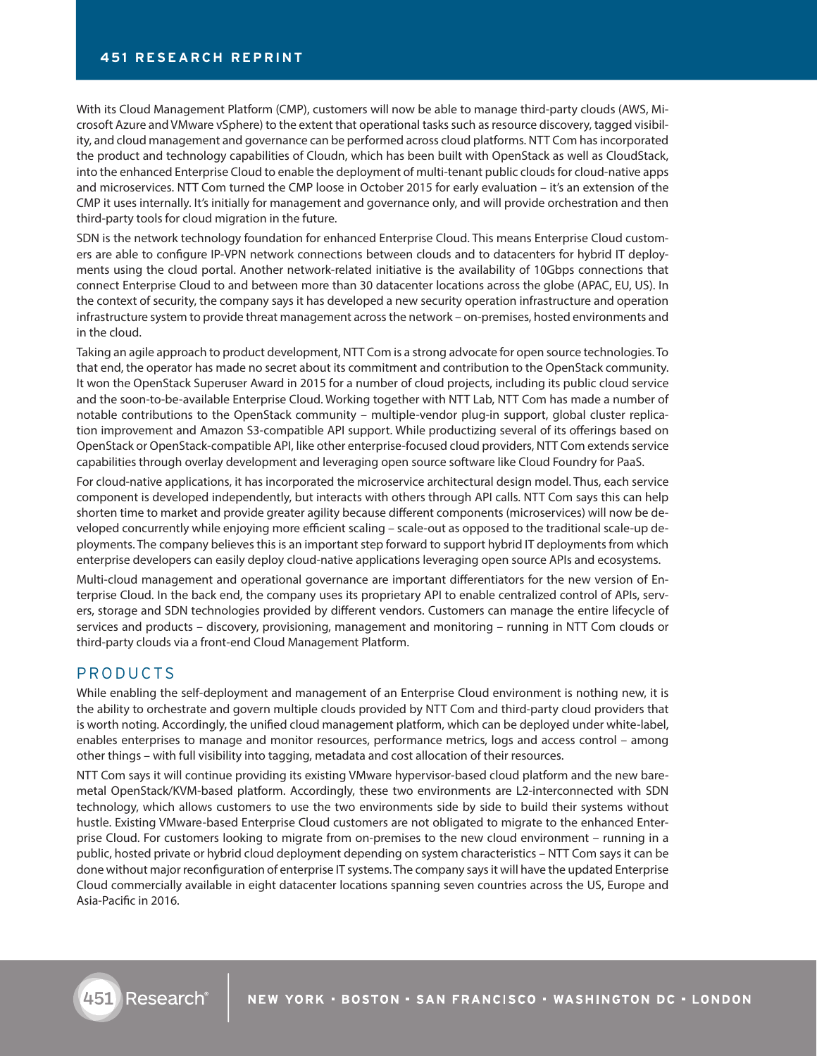With its Cloud Management Platform (CMP), customers will now be able to manage third-party clouds (AWS, Microsoft Azure and VMware vSphere) to the extent that operational tasks such as resource discovery, tagged visibility, and cloud management and governance can be performed across cloud platforms. NTT Com has incorporated the product and technology capabilities of Cloudn, which has been built with OpenStack as well as CloudStack, into the enhanced Enterprise Cloud to enable the deployment of multi-tenant public clouds for cloud-native apps and microservices. NTT Com turned the CMP loose in October 2015 for early evaluation – it's an extension of the CMP it uses internally. It's initially for management and governance only, and will provide orchestration and then third-party tools for cloud migration in the future.

SDN is the network technology foundation for enhanced Enterprise Cloud. This means Enterprise Cloud customers are able to configure IP-VPN network connections between clouds and to datacenters for hybrid IT deployments using the cloud portal. Another network-related initiative is the availability of 10Gbps connections that connect Enterprise Cloud to and between more than 30 datacenter locations across the globe (APAC, EU, US). In the context of security, the company says it has developed a new security operation infrastructure and operation infrastructure system to provide threat management across the network – on-premises, hosted environments and in the cloud.

Taking an agile approach to product development, NTT Com is a strong advocate for open source technologies. To that end, the operator has made no secret about its commitment and contribution to the OpenStack community. It won the OpenStack Superuser Award in 2015 for a number of cloud projects, including its public cloud service and the soon-to-be-available Enterprise Cloud. Working together with NTT Lab, NTT Com has made a number of notable contributions to the OpenStack community – multiple-vendor plug-in support, global cluster replication improvement and Amazon S3-compatible API support. While productizing several of its offerings based on OpenStack or OpenStack-compatible API, like other enterprise-focused cloud providers, NTT Com extends service capabilities through overlay development and leveraging open source software like Cloud Foundry for PaaS.

For cloud-native applications, it has incorporated the microservice architectural design model. Thus, each service component is developed independently, but interacts with others through API calls. NTT Com says this can help shorten time to market and provide greater agility because different components (microservices) will now be developed concurrently while enjoying more efficient scaling – scale-out as opposed to the traditional scale-up deployments. The company believes this is an important step forward to support hybrid IT deployments from which enterprise developers can easily deploy cloud-native applications leveraging open source APIs and ecosystems.

Multi-cloud management and operational governance are important differentiators for the new version of Enterprise Cloud. In the back end, the company uses its proprietary API to enable centralized control of APIs, servers, storage and SDN technologies provided by different vendors. Customers can manage the entire lifecycle of services and products – discovery, provisioning, management and monitoring – running in NTT Com clouds or third-party clouds via a front-end Cloud Management Platform.

### PRODUCTS

While enabling the self-deployment and management of an Enterprise Cloud environment is nothing new, it is the ability to orchestrate and govern multiple clouds provided by NTT Com and third-party cloud providers that is worth noting. Accordingly, the unified cloud management platform, which can be deployed under white-label, enables enterprises to manage and monitor resources, performance metrics, logs and access control – among other things – with full visibility into tagging, metadata and cost allocation of their resources.

NTT Com says it will continue providing its existing VMware hypervisor-based cloud platform and the new baremetal OpenStack/KVM-based platform. Accordingly, these two environments are L2-interconnected with SDN technology, which allows customers to use the two environments side by side to build their systems without hustle. Existing VMware-based Enterprise Cloud customers are not obligated to migrate to the enhanced Enterprise Cloud. For customers looking to migrate from on-premises to the new cloud environment – running in a public, hosted private or hybrid cloud deployment depending on system characteristics – NTT Com says it can be done without major reconfiguration of enterprise IT systems. The company says it will have the updated Enterprise Cloud commercially available in eight datacenter locations spanning seven countries across the US, Europe and Asia-Pacific in 2016.